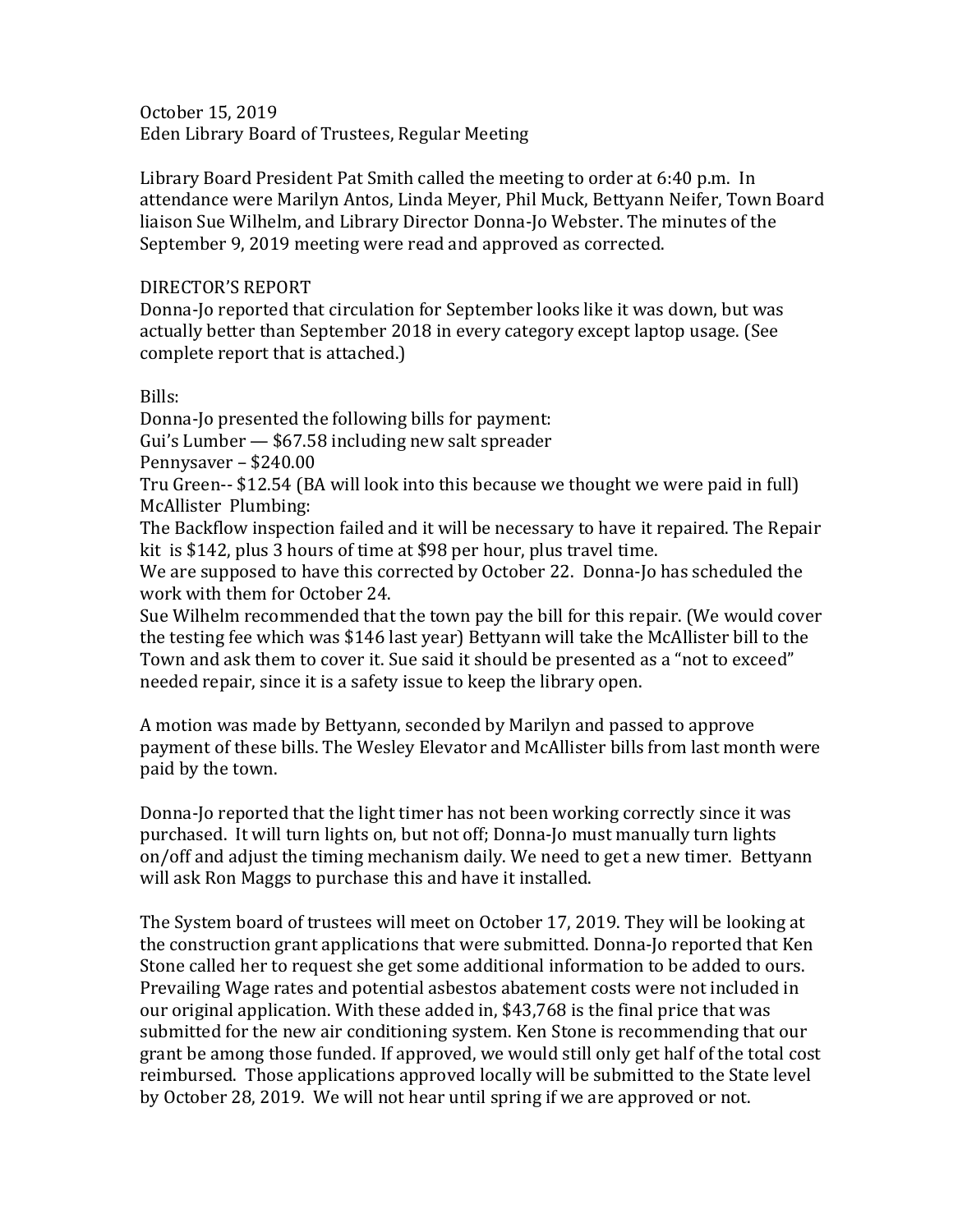October 15, 2019 Eden Library Board of Trustees, Regular Meeting

Library Board President Pat Smith called the meeting to order at 6:40 p.m. In attendance were Marilyn Antos, Linda Meyer, Phil Muck, Bettyann Neifer, Town Board liaison Sue Wilhelm, and Library Director Donna-Jo Webster. The minutes of the September 9, 2019 meeting were read and approved as corrected.

## DIRECTOR'S REPORT

Donna-Jo reported that circulation for September looks like it was down, but was actually better than September 2018 in every category except laptop usage. (See complete report that is attached.)

## Bills:

Donna-Jo presented the following bills for payment: Gui's Lumber — \$67.58 including new salt spreader Pennysaver – \$240.00 Tru Green-- \$12.54 (BA will look into this because we thought we were paid in full) McAllister Plumbing: The Backflow inspection failed and it will be necessary to have it repaired. The Repair

kit is \$142, plus 3 hours of time at \$98 per hour, plus travel time.

We are supposed to have this corrected by October 22. Donna-Jo has scheduled the work with them for October 24.

Sue Wilhelm recommended that the town pay the bill for this repair. (We would cover the testing fee which was \$146 last year) Bettyann will take the McAllister bill to the Town and ask them to cover it. Sue said it should be presented as a "not to exceed" needed repair, since it is a safety issue to keep the library open.

A motion was made by Bettyann, seconded by Marilyn and passed to approve payment of these bills. The Wesley Elevator and McAllister bills from last month were paid by the town.

Donna-Jo reported that the light timer has not been working correctly since it was purchased. It will turn lights on, but not off; Donna-Jo must manually turn lights on/off and adjust the timing mechanism daily. We need to get a new timer. Bettyann will ask Ron Maggs to purchase this and have it installed.

The System board of trustees will meet on October 17, 2019. They will be looking at the construction grant applications that were submitted. Donna-Jo reported that Ken Stone called her to request she get some additional information to be added to ours. Prevailing Wage rates and potential asbestos abatement costs were not included in our original application. With these added in, \$43,768 is the final price that was submitted for the new air conditioning system. Ken Stone is recommending that our grant be among those funded. If approved, we would still only get half of the total cost reimbursed. Those applications approved locally will be submitted to the State level by October 28, 2019. We will not hear until spring if we are approved or not.